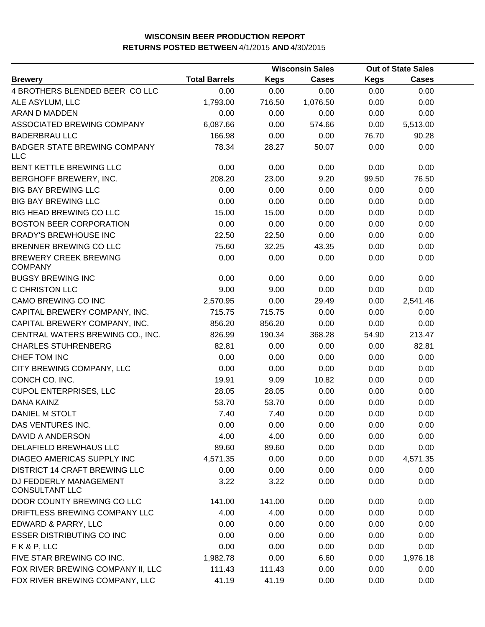|                                                   |                      |             | <b>Wisconsin Sales</b> | <b>Out of State Sales</b> |              |  |
|---------------------------------------------------|----------------------|-------------|------------------------|---------------------------|--------------|--|
| <b>Brewery</b>                                    | <b>Total Barrels</b> | <b>Kegs</b> | <b>Cases</b>           | <b>Kegs</b>               | <b>Cases</b> |  |
| 4 BROTHERS BLENDED BEER CO LLC                    | 0.00                 | 0.00        | 0.00                   | 0.00                      | 0.00         |  |
| ALE ASYLUM, LLC                                   | 1,793.00             | 716.50      | 1,076.50               | 0.00                      | 0.00         |  |
| <b>ARAN D MADDEN</b>                              | 0.00                 | 0.00        | 0.00                   | 0.00                      | 0.00         |  |
| ASSOCIATED BREWING COMPANY                        | 6,087.66             | 0.00        | 574.66                 | 0.00                      | 5,513.00     |  |
| <b>BADERBRAU LLC</b>                              | 166.98               | 0.00        | 0.00                   | 76.70                     | 90.28        |  |
| <b>BADGER STATE BREWING COMPANY</b><br><b>LLC</b> | 78.34                | 28.27       | 50.07                  | 0.00                      | 0.00         |  |
| BENT KETTLE BREWING LLC                           | 0.00                 | 0.00        | 0.00                   | 0.00                      | 0.00         |  |
| BERGHOFF BREWERY, INC.                            | 208.20               | 23.00       | 9.20                   | 99.50                     | 76.50        |  |
| <b>BIG BAY BREWING LLC</b>                        | 0.00                 | 0.00        | 0.00                   | 0.00                      | 0.00         |  |
| <b>BIG BAY BREWING LLC</b>                        | 0.00                 | 0.00        | 0.00                   | 0.00                      | 0.00         |  |
| <b>BIG HEAD BREWING CO LLC</b>                    | 15.00                | 15.00       | 0.00                   | 0.00                      | 0.00         |  |
| <b>BOSTON BEER CORPORATION</b>                    | 0.00                 | 0.00        | 0.00                   | 0.00                      | 0.00         |  |
| <b>BRADY'S BREWHOUSE INC</b>                      | 22.50                | 22.50       | 0.00                   | 0.00                      | 0.00         |  |
| BRENNER BREWING CO LLC                            | 75.60                | 32.25       | 43.35                  | 0.00                      | 0.00         |  |
| <b>BREWERY CREEK BREWING</b><br><b>COMPANY</b>    | 0.00                 | 0.00        | 0.00                   | 0.00                      | 0.00         |  |
| <b>BUGSY BREWING INC</b>                          | 0.00                 | 0.00        | 0.00                   | 0.00                      | 0.00         |  |
| C CHRISTON LLC                                    | 9.00                 | 9.00        | 0.00                   | 0.00                      | 0.00         |  |
| CAMO BREWING CO INC                               | 2,570.95             | 0.00        | 29.49                  | 0.00                      | 2,541.46     |  |
| CAPITAL BREWERY COMPANY, INC.                     | 715.75               | 715.75      | 0.00                   | 0.00                      | 0.00         |  |
| CAPITAL BREWERY COMPANY, INC.                     | 856.20               | 856.20      | 0.00                   | 0.00                      | 0.00         |  |
| CENTRAL WATERS BREWING CO., INC.                  | 826.99               | 190.34      | 368.28                 | 54.90                     | 213.47       |  |
| <b>CHARLES STUHRENBERG</b>                        | 82.81                | 0.00        | 0.00                   | 0.00                      | 82.81        |  |
| CHEF TOM INC                                      | 0.00                 | 0.00        | 0.00                   | 0.00                      | 0.00         |  |
| CITY BREWING COMPANY, LLC                         | 0.00                 | 0.00        | 0.00                   | 0.00                      | 0.00         |  |
| CONCH CO. INC.                                    | 19.91                | 9.09        | 10.82                  | 0.00                      | 0.00         |  |
| <b>CUPOL ENTERPRISES, LLC</b>                     | 28.05                | 28.05       | 0.00                   | 0.00                      | 0.00         |  |
| <b>DANA KAINZ</b>                                 | 53.70                | 53.70       | 0.00                   | 0.00                      | 0.00         |  |
| DANIEL M STOLT                                    | 7.40                 | 7.40        | 0.00                   | 0.00                      | 0.00         |  |
| DAS VENTURES INC.                                 | 0.00                 | 0.00        | 0.00                   | 0.00                      | 0.00         |  |
| DAVID A ANDERSON                                  | 4.00                 | 4.00        | 0.00                   | 0.00                      | 0.00         |  |
| DELAFIELD BREWHAUS LLC                            | 89.60                | 89.60       | 0.00                   | 0.00                      | 0.00         |  |
| DIAGEO AMERICAS SUPPLY INC                        | 4,571.35             | 0.00        | 0.00                   | 0.00                      | 4,571.35     |  |
| <b>DISTRICT 14 CRAFT BREWING LLC</b>              | 0.00                 | 0.00        | 0.00                   | 0.00                      | 0.00         |  |
| DJ FEDDERLY MANAGEMENT<br><b>CONSULTANT LLC</b>   | 3.22                 | 3.22        | 0.00                   | 0.00                      | 0.00         |  |
| DOOR COUNTY BREWING CO LLC                        | 141.00               | 141.00      | 0.00                   | 0.00                      | 0.00         |  |
| DRIFTLESS BREWING COMPANY LLC                     | 4.00                 | 4.00        | 0.00                   | 0.00                      | 0.00         |  |
| EDWARD & PARRY, LLC                               | 0.00                 | 0.00        | 0.00                   | 0.00                      | 0.00         |  |
| <b>ESSER DISTRIBUTING CO INC</b>                  | 0.00                 | 0.00        | 0.00                   | 0.00                      | 0.00         |  |
| FK&P, LLC                                         | 0.00                 | 0.00        | 0.00                   | 0.00                      | 0.00         |  |
| FIVE STAR BREWING CO INC.                         | 1,982.78             | 0.00        | 6.60                   | 0.00                      | 1,976.18     |  |
| FOX RIVER BREWING COMPANY II, LLC                 | 111.43               | 111.43      | 0.00                   | 0.00                      | 0.00         |  |
| FOX RIVER BREWING COMPANY, LLC                    | 41.19                | 41.19       | 0.00                   | 0.00                      | 0.00         |  |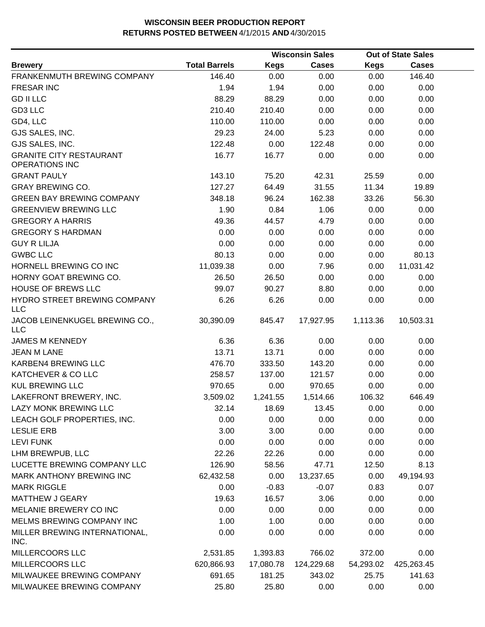|                                                         |                      |             | <b>Wisconsin Sales</b> |             | <b>Out of State Sales</b> |  |  |
|---------------------------------------------------------|----------------------|-------------|------------------------|-------------|---------------------------|--|--|
| <b>Brewery</b>                                          | <b>Total Barrels</b> | <b>Kegs</b> | <b>Cases</b>           | <b>Kegs</b> | <b>Cases</b>              |  |  |
| FRANKENMUTH BREWING COMPANY                             | 146.40               | 0.00        | 0.00                   | 0.00        | 146.40                    |  |  |
| <b>FRESAR INC</b>                                       | 1.94                 | 1.94        | 0.00                   | 0.00        | 0.00                      |  |  |
| <b>GD II LLC</b>                                        | 88.29                | 88.29       | 0.00                   | 0.00        | 0.00                      |  |  |
| GD3 LLC                                                 | 210.40               | 210.40      | 0.00                   | 0.00        | 0.00                      |  |  |
| GD4, LLC                                                | 110.00               | 110.00      | 0.00                   | 0.00        | 0.00                      |  |  |
| GJS SALES, INC.                                         | 29.23                | 24.00       | 5.23                   | 0.00        | 0.00                      |  |  |
| GJS SALES, INC.                                         | 122.48               | 0.00        | 122.48                 | 0.00        | 0.00                      |  |  |
| <b>GRANITE CITY RESTAURANT</b><br><b>OPERATIONS INC</b> | 16.77                | 16.77       | 0.00                   | 0.00        | 0.00                      |  |  |
| <b>GRANT PAULY</b>                                      | 143.10               | 75.20       | 42.31                  | 25.59       | 0.00                      |  |  |
| <b>GRAY BREWING CO.</b>                                 | 127.27               | 64.49       | 31.55                  | 11.34       | 19.89                     |  |  |
| <b>GREEN BAY BREWING COMPANY</b>                        | 348.18               | 96.24       | 162.38                 | 33.26       | 56.30                     |  |  |
| <b>GREENVIEW BREWING LLC</b>                            | 1.90                 | 0.84        | 1.06                   | 0.00        | 0.00                      |  |  |
| <b>GREGORY A HARRIS</b>                                 | 49.36                | 44.57       | 4.79                   | 0.00        | 0.00                      |  |  |
| <b>GREGORY S HARDMAN</b>                                | 0.00                 | 0.00        | 0.00                   | 0.00        | 0.00                      |  |  |
| <b>GUY R LILJA</b>                                      | 0.00                 | 0.00        | 0.00                   | 0.00        | 0.00                      |  |  |
| <b>GWBC LLC</b>                                         | 80.13                | 0.00        | 0.00                   | 0.00        | 80.13                     |  |  |
| HORNELL BREWING CO INC                                  | 11,039.38            | 0.00        | 7.96                   | 0.00        | 11,031.42                 |  |  |
| HORNY GOAT BREWING CO.                                  | 26.50                | 26.50       | 0.00                   | 0.00        | 0.00                      |  |  |
| HOUSE OF BREWS LLC                                      | 99.07                | 90.27       | 8.80                   | 0.00        | 0.00                      |  |  |
| HYDRO STREET BREWING COMPANY<br><b>LLC</b>              | 6.26                 | 6.26        | 0.00                   | 0.00        | 0.00                      |  |  |
| JACOB LEINENKUGEL BREWING CO.,<br><b>LLC</b>            | 30,390.09            | 845.47      | 17,927.95              | 1,113.36    | 10,503.31                 |  |  |
| <b>JAMES M KENNEDY</b>                                  | 6.36                 | 6.36        | 0.00                   | 0.00        | 0.00                      |  |  |
| <b>JEAN M LANE</b>                                      | 13.71                | 13.71       | 0.00                   | 0.00        | 0.00                      |  |  |
| KARBEN4 BREWING LLC                                     | 476.70               | 333.50      | 143.20                 | 0.00        | 0.00                      |  |  |
| KATCHEVER & CO LLC                                      | 258.57               | 137.00      | 121.57                 | 0.00        | 0.00                      |  |  |
| <b>KUL BREWING LLC</b>                                  | 970.65               | 0.00        | 970.65                 | 0.00        | 0.00                      |  |  |
| LAKEFRONT BREWERY, INC.                                 | 3,509.02             | 1,241.55    | 1,514.66               | 106.32      | 646.49                    |  |  |
| LAZY MONK BREWING LLC                                   | 32.14                | 18.69       | 13.45                  | 0.00        | 0.00                      |  |  |
| LEACH GOLF PROPERTIES, INC.                             | 0.00                 | 0.00        | 0.00                   | 0.00        | 0.00                      |  |  |
| <b>LESLIE ERB</b>                                       | 3.00                 | 3.00        | 0.00                   | 0.00        | 0.00                      |  |  |
| <b>LEVI FUNK</b>                                        | 0.00                 | 0.00        | 0.00                   | 0.00        | 0.00                      |  |  |
| LHM BREWPUB, LLC                                        | 22.26                | 22.26       | 0.00                   | 0.00        | 0.00                      |  |  |
| LUCETTE BREWING COMPANY LLC                             | 126.90               | 58.56       | 47.71                  | 12.50       | 8.13                      |  |  |
| MARK ANTHONY BREWING INC                                | 62,432.58            | 0.00        | 13,237.65              | 0.00        | 49,194.93                 |  |  |
| <b>MARK RIGGLE</b>                                      | 0.00                 | $-0.83$     | $-0.07$                | 0.83        | 0.07                      |  |  |
| <b>MATTHEW J GEARY</b>                                  | 19.63                | 16.57       | 3.06                   | 0.00        | 0.00                      |  |  |
| MELANIE BREWERY CO INC                                  | 0.00                 | 0.00        | 0.00                   | 0.00        | 0.00                      |  |  |
| MELMS BREWING COMPANY INC                               | 1.00                 | 1.00        | 0.00                   | 0.00        | 0.00                      |  |  |
| MILLER BREWING INTERNATIONAL,<br>INC.                   | 0.00                 | 0.00        | 0.00                   | 0.00        | 0.00                      |  |  |
| MILLERCOORS LLC                                         | 2,531.85             | 1,393.83    | 766.02                 | 372.00      | 0.00                      |  |  |
| MILLERCOORS LLC                                         | 620,866.93           | 17,080.78   | 124,229.68             | 54,293.02   | 425,263.45                |  |  |
| MILWAUKEE BREWING COMPANY                               | 691.65               | 181.25      | 343.02                 | 25.75       | 141.63                    |  |  |
| MILWAUKEE BREWING COMPANY                               | 25.80                | 25.80       | 0.00                   | 0.00        | 0.00                      |  |  |
|                                                         |                      |             |                        |             |                           |  |  |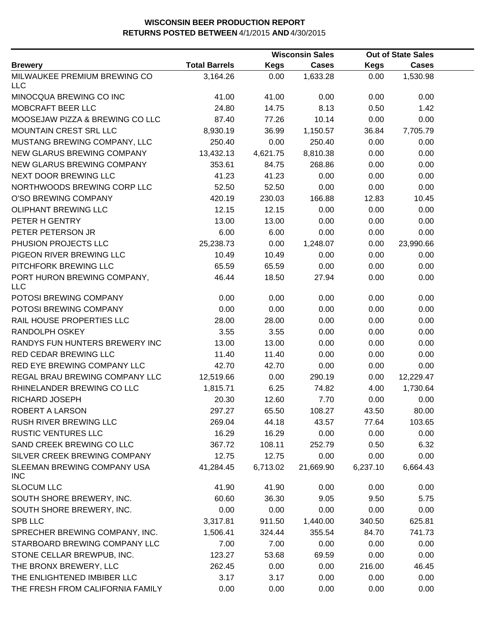|                                            | <b>Wisconsin Sales</b> |             |              | <b>Out of State Sales</b> |              |  |
|--------------------------------------------|------------------------|-------------|--------------|---------------------------|--------------|--|
| <b>Brewery</b>                             | <b>Total Barrels</b>   | <b>Kegs</b> | <b>Cases</b> | <b>Kegs</b>               | <b>Cases</b> |  |
| MILWAUKEE PREMIUM BREWING CO<br><b>LLC</b> | 3,164.26               | 0.00        | 1,633.28     | 0.00                      | 1,530.98     |  |
| MINOCQUA BREWING CO INC                    | 41.00                  | 41.00       | 0.00         | 0.00                      | 0.00         |  |
| MOBCRAFT BEER LLC                          | 24.80                  | 14.75       | 8.13         | 0.50                      | 1.42         |  |
| MOOSEJAW PIZZA & BREWING CO LLC            | 87.40                  | 77.26       | 10.14        | 0.00                      | 0.00         |  |
| MOUNTAIN CREST SRL LLC                     | 8,930.19               | 36.99       | 1,150.57     | 36.84                     | 7,705.79     |  |
| MUSTANG BREWING COMPANY, LLC               | 250.40                 | 0.00        | 250.40       | 0.00                      | 0.00         |  |
| NEW GLARUS BREWING COMPANY                 | 13,432.13              | 4,621.75    | 8,810.38     | 0.00                      | 0.00         |  |
| NEW GLARUS BREWING COMPANY                 | 353.61                 | 84.75       | 268.86       | 0.00                      | 0.00         |  |
| NEXT DOOR BREWING LLC                      | 41.23                  | 41.23       | 0.00         | 0.00                      | 0.00         |  |
| NORTHWOODS BREWING CORP LLC                | 52.50                  | 52.50       | 0.00         | 0.00                      | 0.00         |  |
| O'SO BREWING COMPANY                       | 420.19                 | 230.03      | 166.88       | 12.83                     | 10.45        |  |
| OLIPHANT BREWING LLC                       | 12.15                  | 12.15       | 0.00         | 0.00                      | 0.00         |  |
| PETER H GENTRY                             | 13.00                  | 13.00       | 0.00         | 0.00                      | 0.00         |  |
| PETER PETERSON JR                          | 6.00                   | 6.00        | 0.00         | 0.00                      | 0.00         |  |
| PHUSION PROJECTS LLC                       | 25,238.73              | 0.00        | 1,248.07     | 0.00                      | 23,990.66    |  |
| PIGEON RIVER BREWING LLC                   | 10.49                  | 10.49       | 0.00         | 0.00                      | 0.00         |  |
| PITCHFORK BREWING LLC                      | 65.59                  | 65.59       | 0.00         | 0.00                      | 0.00         |  |
| PORT HURON BREWING COMPANY,<br><b>LLC</b>  | 46.44                  | 18.50       | 27.94        | 0.00                      | 0.00         |  |
| POTOSI BREWING COMPANY                     | 0.00                   | 0.00        | 0.00         | 0.00                      | 0.00         |  |
| POTOSI BREWING COMPANY                     | 0.00                   | 0.00        | 0.00         | 0.00                      | 0.00         |  |
| RAIL HOUSE PROPERTIES LLC                  | 28.00                  | 28.00       | 0.00         | 0.00                      | 0.00         |  |
| RANDOLPH OSKEY                             | 3.55                   | 3.55        | 0.00         | 0.00                      | 0.00         |  |
| RANDYS FUN HUNTERS BREWERY INC             | 13.00                  | 13.00       | 0.00         | 0.00                      | 0.00         |  |
| RED CEDAR BREWING LLC                      | 11.40                  | 11.40       | 0.00         | 0.00                      | 0.00         |  |
| RED EYE BREWING COMPANY LLC                | 42.70                  | 42.70       | 0.00         | 0.00                      | 0.00         |  |
| REGAL BRAU BREWING COMPANY LLC             | 12,519.66              | 0.00        | 290.19       | 0.00                      | 12,229.47    |  |
| RHINELANDER BREWING CO LLC                 | 1,815.71               | 6.25        | 74.82        | 4.00                      | 1,730.64     |  |
| RICHARD JOSEPH                             | 20.30                  | 12.60       | 7.70         | 0.00                      | 0.00         |  |
| ROBERT A LARSON                            | 297.27                 | 65.50       | 108.27       | 43.50                     | 80.00        |  |
| RUSH RIVER BREWING LLC                     | 269.04                 | 44.18       | 43.57        | 77.64                     | 103.65       |  |
| <b>RUSTIC VENTURES LLC</b>                 | 16.29                  | 16.29       | 0.00         | 0.00                      | 0.00         |  |
| SAND CREEK BREWING CO LLC                  | 367.72                 | 108.11      | 252.79       | 0.50                      | 6.32         |  |
| SILVER CREEK BREWING COMPANY               | 12.75                  | 12.75       | 0.00         | 0.00                      | 0.00         |  |
| SLEEMAN BREWING COMPANY USA<br><b>INC</b>  | 41,284.45              | 6,713.02    | 21,669.90    | 6,237.10                  | 6,664.43     |  |
| <b>SLOCUM LLC</b>                          | 41.90                  | 41.90       | 0.00         | 0.00                      | 0.00         |  |
| SOUTH SHORE BREWERY, INC.                  | 60.60                  | 36.30       | 9.05         | 9.50                      | 5.75         |  |
| SOUTH SHORE BREWERY, INC.                  | 0.00                   | 0.00        | 0.00         | 0.00                      | 0.00         |  |
| SPB LLC                                    | 3,317.81               | 911.50      | 1,440.00     | 340.50                    | 625.81       |  |
| SPRECHER BREWING COMPANY, INC.             | 1,506.41               | 324.44      | 355.54       | 84.70                     | 741.73       |  |
| STARBOARD BREWING COMPANY LLC              | 7.00                   | 7.00        | 0.00         | 0.00                      | 0.00         |  |
| STONE CELLAR BREWPUB, INC.                 | 123.27                 | 53.68       | 69.59        | 0.00                      | 0.00         |  |
| THE BRONX BREWERY, LLC                     | 262.45                 | 0.00        | 0.00         | 216.00                    | 46.45        |  |
| THE ENLIGHTENED IMBIBER LLC                | 3.17                   | 3.17        | 0.00         | 0.00                      | 0.00         |  |
| THE FRESH FROM CALIFORNIA FAMILY           | 0.00                   | 0.00        | 0.00         | 0.00                      | 0.00         |  |